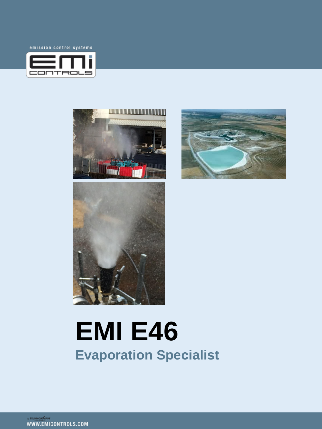emission control systems











# **EMI E46 Evaporation Specialist**

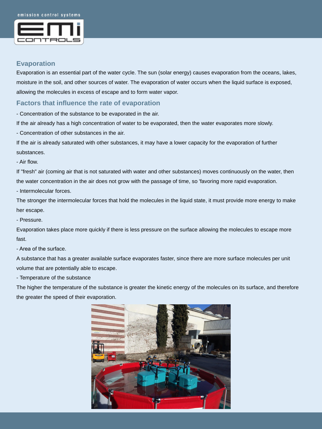#### emission control systems



# **Evaporation**

Evaporation is an essential part of the water cycle. The sun (solar energy) causes evaporation from the oceans, lakes, moisture in the soil, and other sources of water. The evaporation of water occurs when the liquid surface is exposed, allowing the molecules in excess of escape and to form water vapor.

# **Factors that influence the rate of evaporation**

- Concentration of the substance to be evaporated in the air.

If the air already has a high concentration of water to be evaporated, then the water evaporates more slowly.

- Concentration of other substances in the air.

If the air is already saturated with other substances, it may have a lower capacity for the evaporation of further substances.

- Air flow.

If "fresh" air (coming air that is not saturated with water and other substances) moves continuously on the water, then the water concentration in the air does not grow with the passage of time, so 'favoring more rapid evaporation.

- Intermolecular forces.

The stronger the intermolecular forces that hold the molecules in the liquid state, it must provide more energy to make her escape.

- Pressure.

Evaporation takes place more quickly if there is less pressure on the surface allowing the molecules to escape more fast.

- Area of the surface.

A substance that has a greater available surface evaporates faster, since there are more surface molecules per unit volume that are potentially able to escape.

- Temperature of the substance

The higher the temperature of the substance is greater the kinetic energy of the molecules on its surface, and therefore the greater the speed of their evaporation.

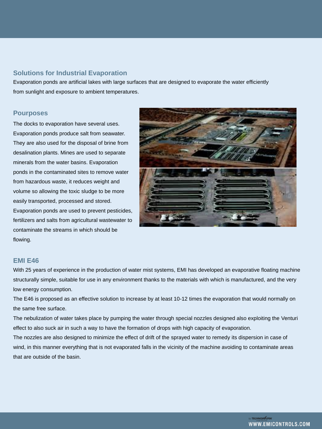# **Solutions for Industrial Evaporation**

Evaporation ponds are artificial lakes with large surfaces that are designed to evaporate the water efficiently from sunlight and exposure to ambient temperatures.

## **Pourposes**

The docks to evaporation have several uses. Evaporation ponds produce salt from seawater. They are also used for the disposal of brine from desalination plants. Mines are used to separate minerals from the water basins. Evaporation ponds in the contaminated sites to remove water from hazardous waste, it reduces weight and volume so allowing the toxic sludge to be more easily transported, processed and stored. Evaporation ponds are used to prevent pesticides, fertilizers and salts from agricultural wastewater to contaminate the streams in which should be flowing.



## **EMI E46**

With 25 years of experience in the production of water mist systems, EMI has developed an evaporative floating machine structurally simple, suitable for use in any environment thanks to the materials with which is manufactured, and the very low energy consumption.

The E46 is proposed as an effective solution to increase by at least 10-12 times the evaporation that would normally on

the same free surface.

The nebulization of water takes place by pumping the water through special nozzles designed also exploiting the Venturi effect to also suck air in such a way to have the formation of drops with high capacity of evaporation.

The nozzles are also designed to minimize the effect of drift of the sprayed water to remedy its dispersion in case of wind, in this manner everything that is not evaporated falls in the vicinity of the machine avoiding to contaminate areas that are outside of the basin.